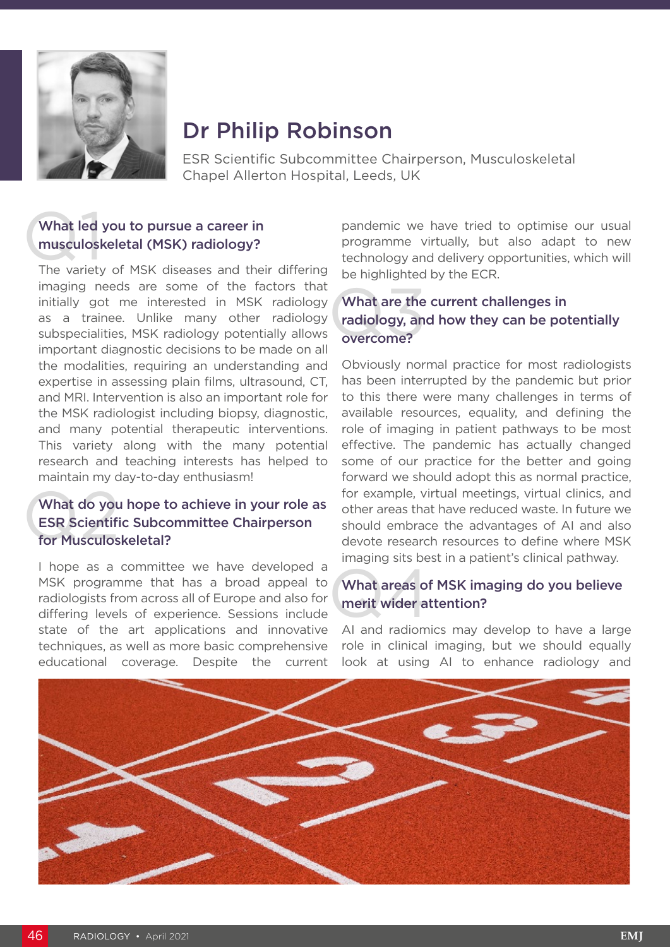

# Dr Philip Robinson

ESR Scientific Subcommittee Chairperson, Musculoskeletal Chapel Allerton Hospital, Leeds, UK

## What led<br>musculosk<br>The variety What led you to pursue a career in musculoskeletal (MSK) radiology?

The variety of MSK diseases and their differing imaging needs are some of the factors that initially got me interested in MSK radiology as a trainee. Unlike many other radiology subspecialities, MSK radiology potentially allows important diagnostic decisions to be made on all the modalities, requiring an understanding and expertise in assessing plain films, ultrasound, CT, and MRI. Intervention is also an important role for the MSK radiologist including biopsy, diagnostic, and many potential therapeutic interventions. This variety along with the many potential research and teaching interests has helped to maintain my day-to-day enthusiasm!

### What do you<br>ESR Scientifi<br>for Musculos What do you hope to achieve in your role as ESR Scientific Subcommittee Chairperson for Musculoskeletal?

I hope as a committee we have developed a MSK programme that has a broad appeal to radiologists from across all of Europe and also for differing levels of experience. Sessions include state of the art applications and innovative techniques, as well as more basic comprehensive educational coverage. Despite the current pandemic we have tried to optimise our usual programme virtually, but also adapt to new technology and delivery opportunities, which will be highlighted by the ECR.

### What are the<br>radiology, an<br>overcome? What are the current challenges in radiology, and how they can be potentially overcome?

Obviously normal practice for most radiologists has been interrupted by the pandemic but prior to this there were many challenges in terms of available resources, equality, and defining the role of imaging in patient pathways to be most effective. The pandemic has actually changed some of our practice for the better and going forward we should adopt this as normal practice, for example, virtual meetings, virtual clinics, and other areas that have reduced waste. In future we should embrace the advantages of AI and also devote research resources to define where MSK imaging sits best in a patient's clinical pathway.

## What areas of<br>merit wider at What areas of MSK imaging do you believe merit wider attention?

AI and radiomics may develop to have a large role in clinical imaging, but we should equally look at using AI to enhance radiology and